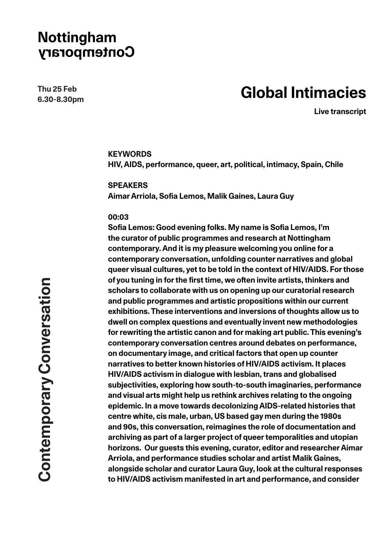**Thu 25 Feb 6.30-8.30pm**

# **Global Intimacies**

**Live transcript**

### **KEYWORDS**

**HIV, AIDS, performance, queer, art, political, intimacy, Spain, Chile**

**SPEAKERS**

**Aimar Arriola, Sofia Lemos, Malik Gaines, Laura Guy**

#### **00:03**

**Sofia Lemos: Good evening folks. My name is Sofia Lemos, I'm the curator of public programmes and research at Nottingham contemporary. And it is my pleasure welcoming you online for a contemporary conversation, unfolding counter narratives and global queer visual cultures, yet to be told in the context of HIV/AIDS. For those of you tuning in for the first time, we often invite artists, thinkers and scholars to collaborate with us on opening up our curatorial research and public programmes and artistic propositions within our current exhibitions. These interventions and inversions of thoughts allow us to dwell on complex questions and eventually invent new methodologies for rewriting the artistic canon and for making art public. This evening's contemporary conversation centres around debates on performance, on documentary image, and critical factors that open up counter narratives to better known histories of HIV/AIDS activism. It places HIV/AIDS activism in dialogue with lesbian, trans and globalised subjectivities, exploring how south-to-south imaginaries, performance and visual arts might help us rethink archives relating to the ongoing epidemic. In a move towards decolonizing AIDS-related histories that centre white, cis male, urban, US based gay men during the 1980s and 90s, this conversation, reimagines the role of documentation and archiving as part of a larger project of queer temporalities and utopian horizons. Our guests this evening, curator, editor and researcher Aimar Arriola, and performance studies scholar and artist Malik Gaines, alongside scholar and curator Laura Guy, look at the cultural responses to HIV/AIDS activism manifested in art and performance, and consider**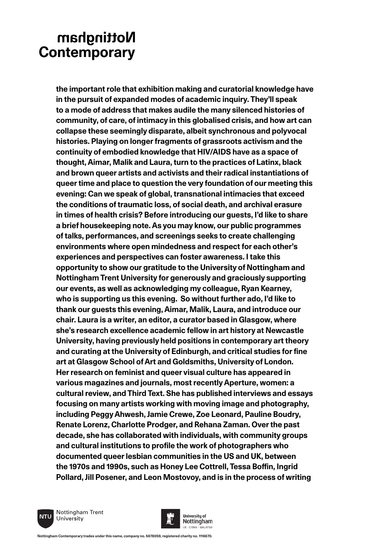**the important role that exhibition making and curatorial knowledge have in the pursuit of expanded modes of academic inquiry. They'll speak to a mode of address that makes audile the many silenced histories of community, of care, of intimacy in this globalised crisis, and how art can collapse these seemingly disparate, albeit synchronous and polyvocal histories. Playing on longer fragments of grassroots activism and the continuity of embodied knowledge that HIV/AIDS have as a space of thought, Aimar, Malik and Laura, turn to the practices of Latinx, black and brown queer artists and activists and their radical instantiations of queer time and place to question the very foundation of our meeting this evening: Can we speak of global, transnational intimacies that exceed the conditions of traumatic loss, of social death, and archival erasure in times of health crisis? Before introducing our guests, I'd like to share a brief housekeeping note. As you may know, our public programmes of talks, performances, and screenings seeks to create challenging environments where open mindedness and respect for each other's experiences and perspectives can foster awareness. I take this opportunity to show our gratitude to the University of Nottingham and Nottingham Trent University for generously and graciously supporting our events, as well as acknowledging my colleague, Ryan Kearney, who is supporting us this evening. So without further ado, I'd like to thank our guests this evening, Aimar, Malik, Laura, and introduce our chair. Laura is a writer, an editor, a curator based in Glasgow, where she's research excellence academic fellow in art history at Newcastle University, having previously held positions in contemporary art theory and curating at the University of Edinburgh, and critical studies for fine art at Glasgow School of Art and Goldsmiths, University of London. Her research on feminist and queer visual culture has appeared in various magazines and journals, most recently Aperture, women: a cultural review, and Third Text. She has published interviews and essays focusing on many artists working with moving image and photography, including Peggy Ahwesh, Jamie Crewe, Zoe Leonard, Pauline Boudry, Renate Lorenz, Charlotte Prodger, and Rehana Zaman. Over the past decade, she has collaborated with individuals, with community groups and cultural institutions to profile the work of photographers who documented queer lesbian communities in the US and UK, between the 1970s and 1990s, such as Honey Lee Cottrell, Tessa Boffin, Ingrid Pollard, Jill Posener, and Leon Mostovoy, and is in the process of writing** 



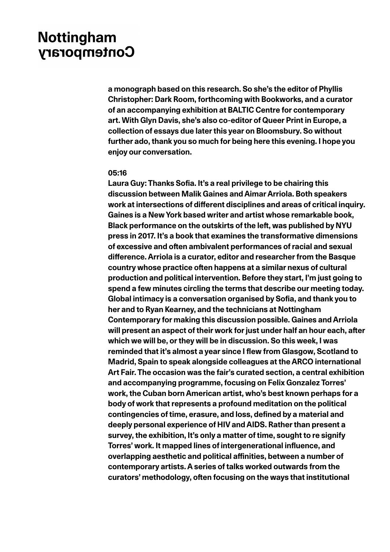**a monograph based on this research. So she's the editor of Phyllis Christopher: Dark Room, forthcoming with Bookworks, and a curator of an accompanying exhibition at BALTIC Centre for contemporary art. With Glyn Davis, she's also co-editor of Queer Print in Europe, a collection of essays due later this year on Bloomsbury. So without further ado, thank you so much for being here this evening. I hope you enjoy our conversation.** 

#### **05:16**

**Laura Guy: Thanks Sofia. It's a real privilege to be chairing this discussion between Malik Gaines and Aimar Arriola. Both speakers work at intersections of different disciplines and areas of critical inquiry. Gaines is a New York based writer and artist whose remarkable book, Black performance on the outskirts of the left, was published by NYU press in 2017. It's a book that examines the transformative dimensions of excessive and often ambivalent performances of racial and sexual difference. Arriola is a curator, editor and researcher from the Basque country whose practice often happens at a similar nexus of cultural production and political intervention. Before they start, I'm just going to spend a few minutes circling the terms that describe our meeting today. Global intimacy is a conversation organised by Sofia, and thank you to her and to Ryan Kearney, and the technicians at Nottingham Contemporary for making this discussion possible. Gaines and Arriola will present an aspect of their work for just under half an hour each, after which we will be, or they will be in discussion. So this week, I was reminded that it's almost a year since I flew from Glasgow, Scotland to Madrid, Spain to speak alongside colleagues at the ARCO international Art Fair. The occasion was the fair's curated section, a central exhibition and accompanying programme, focusing on Felix Gonzalez Torres' work, the Cuban born American artist, who's best known perhaps for a body of work that represents a profound meditation on the political contingencies of time, erasure, and loss, defined by a material and deeply personal experience of HIV and AIDS. Rather than present a survey, the exhibition, It's only a matter of time, sought to re signify Torres' work. It mapped lines of intergenerational influence, and overlapping aesthetic and political affinities, between a number of contemporary artists. A series of talks worked outwards from the curators' methodology, often focusing on the ways that institutional**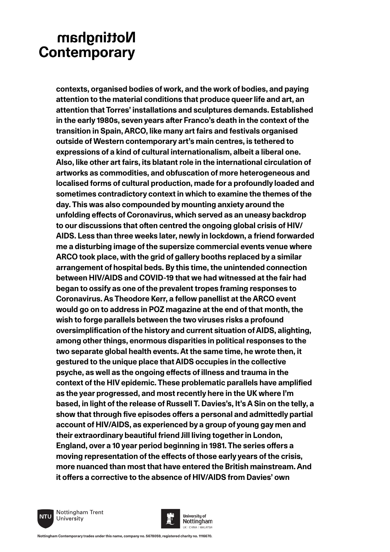**contexts, organised bodies of work, and the work of bodies, and paying attention to the material conditions that produce queer life and art, an attention that Torres' installations and sculptures demands. Established in the early 1980s, seven years after Franco's death in the context of the transition in Spain, ARCO, like many art fairs and festivals organised outside of Western contemporary art's main centres, is tethered to expressions of a kind of cultural internationalism, albeit a liberal one. Also, like other art fairs, its blatant role in the international circulation of artworks as commodities, and obfuscation of more heterogeneous and localised forms of cultural production, made for a profoundly loaded and sometimes contradictory context in which to examine the themes of the day. This was also compounded by mounting anxiety around the unfolding effects of Coronavirus, which served as an uneasy backdrop to our discussions that often centred the ongoing global crisis of HIV/ AIDS. Less than three weeks later, newly in lockdown, a friend forwarded me a disturbing image of the supersize commercial events venue where ARCO took place, with the grid of gallery booths replaced by a similar arrangement of hospital beds. By this time, the unintended connection between HIV/AIDS and COVID-19 that we had witnessed at the fair had began to ossify as one of the prevalent tropes framing responses to Coronavirus. As Theodore Kerr, a fellow panellist at the ARCO event would go on to address in POZ magazine at the end of that month, the wish to forge parallels between the two viruses risks a profound oversimplification of the history and current situation of AIDS, alighting, among other things, enormous disparities in political responses to the two separate global health events. At the same time, he wrote then, it gestured to the unique place that AIDS occupies in the collective psyche, as well as the ongoing effects of illness and trauma in the context of the HIV epidemic. These problematic parallels have amplified as the year progressed, and most recently here in the UK where I'm based, in light of the release of Russell T. Davies's, It's A Sin on the telly, a show that through five episodes offers a personal and admittedly partial account of HIV/AIDS, as experienced by a group of young gay men and their extraordinary beautiful friend Jill living together in London, England, over a 10 year period beginning in 1981. The series offers a moving representation of the effects of those early years of the crisis, more nuanced than most that have entered the British mainstream. And it offers a corrective to the absence of HIV/AIDS from Davies' own** 



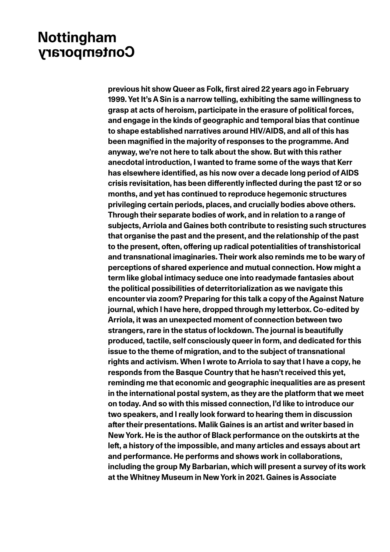**previous hit show Queer as Folk, first aired 22 years ago in February 1999. Yet It's A Sin is a narrow telling, exhibiting the same willingness to grasp at acts of heroism, participate in the erasure of political forces, and engage in the kinds of geographic and temporal bias that continue to shape established narratives around HIV/AIDS, and all of this has been magnified in the majority of responses to the programme. And anyway, we're not here to talk about the show. But with this rather anecdotal introduction, I wanted to frame some of the ways that Kerr has elsewhere identified, as his now over a decade long period of AIDS crisis revisitation, has been differently inflected during the past 12 or so months, and yet has continued to reproduce hegemonic structures privileging certain periods, places, and crucially bodies above others. Through their separate bodies of work, and in relation to a range of subjects, Arriola and Gaines both contribute to resisting such structures that organise the past and the present, and the relationship of the past to the present, often, offering up radical potentialities of transhistorical and transnational imaginaries. Their work also reminds me to be wary of perceptions of shared experience and mutual connection. How might a term like global intimacy seduce one into readymade fantasies about the political possibilities of deterritorialization as we navigate this encounter via zoom? Preparing for this talk a copy of the Against Nature journal, which I have here, dropped through my letterbox. Co-edited by Arriola, it was an unexpected moment of connection between two strangers, rare in the status of lockdown. The journal is beautifully produced, tactile, self consciously queer in form, and dedicated for this issue to the theme of migration, and to the subject of transnational rights and activism. When I wrote to Arriola to say that I have a copy, he responds from the Basque Country that he hasn't received this yet, reminding me that economic and geographic inequalities are as present in the international postal system, as they are the platform that we meet on today. And so with this missed connection, I'd like to introduce our two speakers, and I really look forward to hearing them in discussion after their presentations. Malik Gaines is an artist and writer based in New York. He is the author of Black performance on the outskirts at the left, a history of the impossible, and many articles and essays about art and performance. He performs and shows work in collaborations, including the group My Barbarian, which will present a survey of its work at the Whitney Museum in New York in 2021. Gaines is Associate**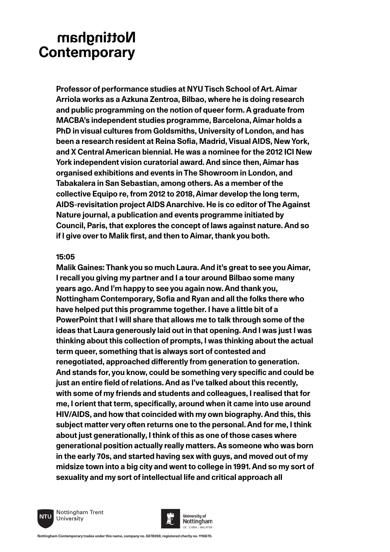**Professor of performance studies at NYU Tisch School of Art. Aimar Arriola works as a Azkuna Zentroa, Bilbao, where he is doing research and public programming on the notion of queer form. A graduate from MACBA's independent studies programme, Barcelona, Aimar holds a PhD in visual cultures from Goldsmiths, University of London, and has been a research resident at Reina Sofia, Madrid, Visual AIDS, New York, and X Central American biennial. He was a nominee for the 2012 ICI New York independent vision curatorial award. And since then, Aimar has organised exhibitions and events in The Showroom in London, and Tabakalera in San Sebastian, among others. As a member of the collective Equipo re, from 2012 to 2018, Aimar develop the long term, AIDS-revisitation project AIDS Anarchive. He is co editor of The Against Nature journal, a publication and events programme initiated by Council, Paris, that explores the concept of laws against nature. And so if I give over to Malik first, and then to Aimar, thank you both.**

### **15:05**

**Malik Gaines: Thank you so much Laura. And it's great to see you Aimar, I recall you giving my partner and I a tour around Bilbao some many years ago. And I'm happy to see you again now. And thank you, Nottingham Contemporary, Sofia and Ryan and all the folks there who have helped put this programme together. I have a little bit of a PowerPoint that I will share that allows me to talk through some of the ideas that Laura generously laid out in that opening. And I was just I was thinking about this collection of prompts, I was thinking about the actual term queer, something that is always sort of contested and renegotiated, approached differently from generation to generation. And stands for, you know, could be something very specific and could be just an entire field of relations. And as I've talked about this recently, with some of my friends and students and colleagues, I realised that for me, I orient that term, specifically, around when it came into use around HIV/AIDS, and how that coincided with my own biography. And this, this subject matter very often returns one to the personal. And for me, I think about just generationally, I think of this as one of those cases where generational position actually really matters. As someone who was born in the early 70s, and started having sex with guys, and moved out of my midsize town into a big city and went to college in 1991. And so my sort of sexuality and my sort of intellectual life and critical approach all** 



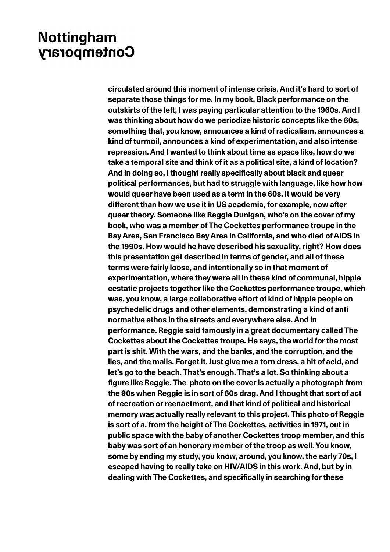**circulated around this moment of intense crisis. And it's hard to sort of separate those things for me. In my book, Black performance on the outskirts of the left, I was paying particular attention to the 1960s. And I was thinking about how do we periodize historic concepts like the 60s, something that, you know, announces a kind of radicalism, announces a kind of turmoil, announces a kind of experimentation, and also intense repression. And I wanted to think about time as space like, how do we take a temporal site and think of it as a political site, a kind of location? And in doing so, I thought really specifically about black and queer political performances, but had to struggle with language, like how how would queer have been used as a term in the 60s, it would be very different than how we use it in US academia, for example, now after queer theory. Someone like Reggie Dunigan, who's on the cover of my book, who was a member of The Cockettes performance troupe in the Bay Area, San Francisco Bay Area in California, and who died of AIDS in the 1990s. How would he have described his sexuality, right? How does this presentation get described in terms of gender, and all of these terms were fairly loose, and intentionally so in that moment of experimentation, where they were all in these kind of communal, hippie ecstatic projects together like the Cockettes performance troupe, which was, you know, a large collaborative effort of kind of hippie people on psychedelic drugs and other elements, demonstrating a kind of anti normative ethos in the streets and everywhere else. And in performance. Reggie said famously in a great documentary called The Cockettes about the Cockettes troupe. He says, the world for the most part is shit. With the wars, and the banks, and the corruption, and the lies, and the malls. Forget it. Just give me a torn dress, a hit of acid, and let's go to the beach. That's enough. That's a lot. So thinking about a figure like Reggie. The photo on the cover is actually a photograph from the 90s when Reggie is in sort of 60s drag. And I thought that sort of act of recreation or reenactment, and that kind of political and historical memory was actually really relevant to this project. This photo of Reggie is sort of a, from the height of The Cockettes. activities in 1971, out in public space with the baby of another Cockettes troop member, and this baby was sort of an honorary member of the troop as well. You know, some by ending my study, you know, around, you know, the early 70s, I escaped having to really take on HIV/AIDS in this work. And, but by in dealing with The Cockettes, and specifically in searching for these**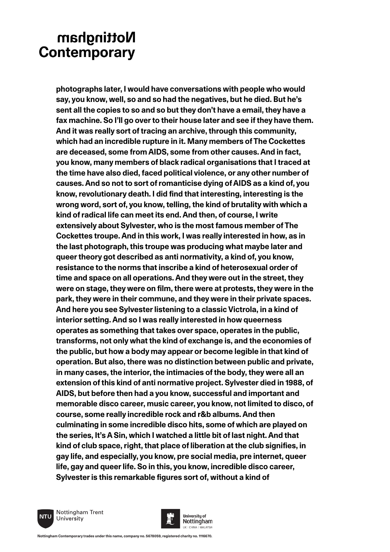**photographs later, I would have conversations with people who would say, you know, well, so and so had the negatives, but he died. But he's sent all the copies to so and so but they don't have a email, they have a fax machine. So I'll go over to their house later and see if they have them. And it was really sort of tracing an archive, through this community, which had an incredible rupture in it. Many members of The Cockettes are deceased, some from AIDS, some from other causes. And in fact, you know, many members of black radical organisations that I traced at the time have also died, faced political violence, or any other number of causes. And so not to sort of romanticise dying of AIDS as a kind of, you know, revolutionary death. I did find that interesting, interesting is the wrong word, sort of, you know, telling, the kind of brutality with which a kind of radical life can meet its end. And then, of course, I write extensively about Sylvester, who is the most famous member of The Cockettes troupe. And in this work, I was really interested in how, as in the last photograph, this troupe was producing what maybe later and queer theory got described as anti normativity, a kind of, you know, resistance to the norms that inscribe a kind of heterosexual order of time and space on all operations. And they were out in the street, they were on stage, they were on film, there were at protests, they were in the park, they were in their commune, and they were in their private spaces. And here you see Sylvester listening to a classic Victrola, in a kind of interior setting. And so I was really interested in how queerness operates as something that takes over space, operates in the public, transforms, not only what the kind of exchange is, and the economies of the public, but how a body may appear or become legible in that kind of operation. But also, there was no distinction between public and private, in many cases, the interior, the intimacies of the body, they were all an extension of this kind of anti normative project. Sylvester died in 1988, of AIDS, but before then had a you know, successful and important and memorable disco career, music career, you know, not limited to disco, of course, some really incredible rock and r&b albums. And then culminating in some incredible disco hits, some of which are played on the series, It's A Sin, which I watched a little bit of last night. And that kind of club space, right, that place of liberation at the club signifies, in gay life, and especially, you know, pre social media, pre internet, queer life, gay and queer life. So in this, you know, incredible disco career, Sylvester is this remarkable figures sort of, without a kind of** 



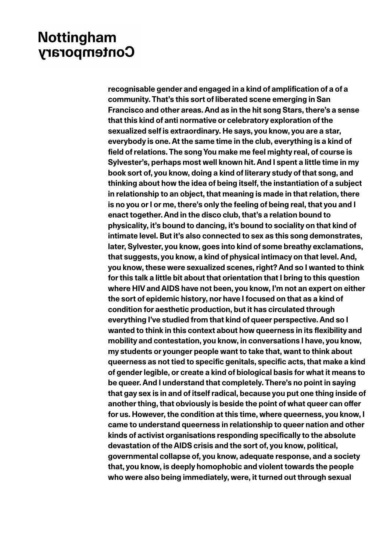**recognisable gender and engaged in a kind of amplification of a of a community. That's this sort of liberated scene emerging in San Francisco and other areas. And as in the hit song Stars, there's a sense that this kind of anti normative or celebratory exploration of the sexualized self is extraordinary. He says, you know, you are a star, everybody is one. At the same time in the club, everything is a kind of field of relations. The song You make me feel mighty real, of course is Sylvester's, perhaps most well known hit. And I spent a little time in my book sort of, you know, doing a kind of literary study of that song, and thinking about how the idea of being itself, the instantiation of a subject in relationship to an object, that meaning is made in that relation, there is no you or I or me, there's only the feeling of being real, that you and I enact together. And in the disco club, that's a relation bound to physicality, it's bound to dancing, it's bound to sociality on that kind of intimate level. But it's also connected to sex as this song demonstrates, later, Sylvester, you know, goes into kind of some breathy exclamations, that suggests, you know, a kind of physical intimacy on that level. And, you know, these were sexualized scenes, right? And so I wanted to think for this talk a little bit about that orientation that I bring to this question where HIV and AIDS have not been, you know, I'm not an expert on either the sort of epidemic history, nor have I focused on that as a kind of condition for aesthetic production, but it has circulated through everything I've studied from that kind of queer perspective. And so I wanted to think in this context about how queerness in its flexibility and mobility and contestation, you know, in conversations I have, you know, my students or younger people want to take that, want to think about queerness as not tied to specific genitals, specific acts, that make a kind of gender legible, or create a kind of biological basis for what it means to be queer. And I understand that completely. There's no point in saying that gay sex is in and of itself radical, because you put one thing inside of another thing, that obviously is beside the point of what queer can offer for us. However, the condition at this time, where queerness, you know, I came to understand queerness in relationship to queer nation and other kinds of activist organisations responding specifically to the absolute devastation of the AIDS crisis and the sort of, you know, political, governmental collapse of, you know, adequate response, and a society that, you know, is deeply homophobic and violent towards the people who were also being immediately, were, it turned out through sexual**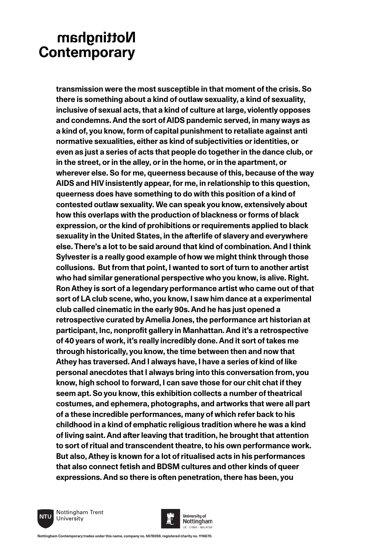**transmission were the most susceptible in that moment of the crisis. So there is something about a kind of outlaw sexuality, a kind of sexuality, inclusive of sexual acts, that a kind of culture at large, violently opposes and condemns. And the sort of AIDS pandemic served, in many ways as a kind of, you know, form of capital punishment to retaliate against anti normative sexualities, either as kind of subjectivities or identities, or even as just a series of acts that people do together in the dance club, or in the street, or in the alley, or in the home, or in the apartment, or wherever else. So for me, queerness because of this, because of the way AIDS and HIV insistently appear, for me, in relationship to this question, queerness does have something to do with this position of a kind of contested outlaw sexuality. We can speak you know, extensively about how this overlaps with the production of blackness or forms of black expression, or the kind of prohibitions or requirements applied to black sexuality in the United States, in the afterlife of slavery and everywhere else. There's a lot to be said around that kind of combination. And I think Sylvester is a really good example of how we might think through those collusions. But from that point, I wanted to sort of turn to another artist who had similar generational perspective who you know, is alive. Right. Ron Athey is sort of a legendary performance artist who came out of that sort of LA club scene, who, you know, I saw him dance at a experimental club called cinematic in the early 90s. And he has just opened a retrospective curated by Amelia Jones, the performance art historian at participant, Inc, nonprofit gallery in Manhattan. And it's a retrospective of 40 years of work, it's really incredibly done. And it sort of takes me through historically, you know, the time between then and now that Athey has traversed. And I always have, I have a series of kind of like personal anecdotes that I always bring into this conversation from, you know, high school to forward, I can save those for our chit chat if they seem apt. So you know, this exhibition collects a number of theatrical costumes, and ephemera, photographs, and artworks that were all part of a these incredible performances, many of which refer back to his childhood in a kind of emphatic religious tradition where he was a kind of living saint. And after leaving that tradition, he brought that attention to sort of ritual and transcendent theatre, to his own performance work. But also, Athey is known for a lot of ritualised acts in his performances that also connect fetish and BDSM cultures and other kinds of queer expressions. And so there is often penetration, there has been, you** 



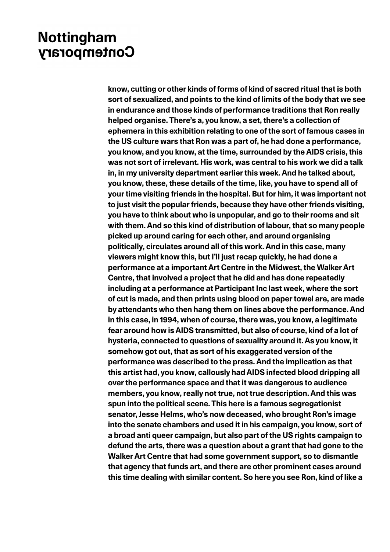**know, cutting or other kinds of forms of kind of sacred ritual that is both sort of sexualized, and points to the kind of limits of the body that we see in endurance and those kinds of performance traditions that Ron really helped organise. There's a, you know, a set, there's a collection of ephemera in this exhibition relating to one of the sort of famous cases in the US culture wars that Ron was a part of, he had done a performance, you know, and you know, at the time, surrounded by the AIDS crisis, this was not sort of irrelevant. His work, was central to his work we did a talk in, in my university department earlier this week. And he talked about, you know, these, these details of the time, like, you have to spend all of your time visiting friends in the hospital. But for him, it was important not to just visit the popular friends, because they have other friends visiting, you have to think about who is unpopular, and go to their rooms and sit with them. And so this kind of distribution of labour, that so many people picked up around caring for each other, and around organising politically, circulates around all of this work. And in this case, many viewers might know this, but I'll just recap quickly, he had done a performance at a important Art Centre in the Midwest, the Walker Art Centre, that involved a project that he did and has done repeatedly including at a performance at Participant Inc last week, where the sort of cut is made, and then prints using blood on paper towel are, are made by attendants who then hang them on lines above the performance. And in this case, in 1994, when of course, there was, you know, a legitimate fear around how is AIDS transmitted, but also of course, kind of a lot of hysteria, connected to questions of sexuality around it. As you know, it somehow got out, that as sort of his exaggerated version of the performance was described to the press. And the implication as that this artist had, you know, callously had AIDS infected blood dripping all over the performance space and that it was dangerous to audience members, you know, really not true, not true description. And this was spun into the political scene. This here is a famous segregationist senator, Jesse Helms, who's now deceased, who brought Ron's image into the senate chambers and used it in his campaign, you know, sort of a broad anti queer campaign, but also part of the US rights campaign to defund the arts, there was a question about a grant that had gone to the Walker Art Centre that had some government support, so to dismantle that agency that funds art, and there are other prominent cases around this time dealing with similar content. So here you see Ron, kind of like a**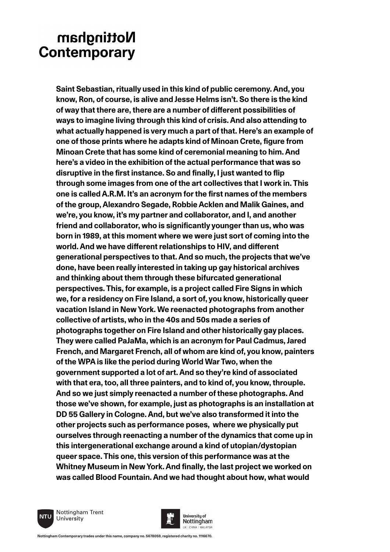**Saint Sebastian, ritually used in this kind of public ceremony. And, you know, Ron, of course, is alive and Jesse Helms isn't. So there is the kind of way that there are, there are a number of different possibilities of ways to imagine living through this kind of crisis. And also attending to what actually happened is very much a part of that. Here's an example of one of those prints where he adapts kind of Minoan Crete, figure from Minoan Crete that has some kind of ceremonial meaning to him. And here's a video in the exhibition of the actual performance that was so disruptive in the first instance. So and finally, I just wanted to flip through some images from one of the art collectives that I work in. This one is called A.R.M. It's an acronym for the first names of the members of the group, Alexandro Segade, Robbie Acklen and Malik Gaines, and we're, you know, it's my partner and collaborator, and I, and another friend and collaborator, who is significantly younger than us, who was born in 1989, at this moment where we were just sort of coming into the world. And we have different relationships to HIV, and different generational perspectives to that. And so much, the projects that we've done, have been really interested in taking up gay historical archives and thinking about them through these bifurcated generational perspectives. This, for example, is a project called Fire Signs in which we, for a residency on Fire Island, a sort of, you know, historically queer vacation Island in New York. We reenacted photographs from another collective of artists, who in the 40s and 50s made a series of photographs together on Fire Island and other historically gay places. They were called PaJaMa, which is an acronym for Paul Cadmus, Jared French, and Margaret French, all of whom are kind of, you know, painters of the WPA is like the period during World War Two, when the government supported a lot of art. And so they're kind of associated with that era, too, all three painters, and to kind of, you know, throuple. And so we just simply reenacted a number of these photographs. And those we've shown, for example, just as photographs is an installation at DD 55 Gallery in Cologne. And, but we've also transformed it into the other projects such as performance poses, where we physically put ourselves through reenacting a number of the dynamics that come up in this intergenerational exchange around a kind of utopian/dystopian queer space. This one, this version of this performance was at the Whitney Museum in New York. And finally, the last project we worked on was called Blood Fountain. And we had thought about how, what would** 



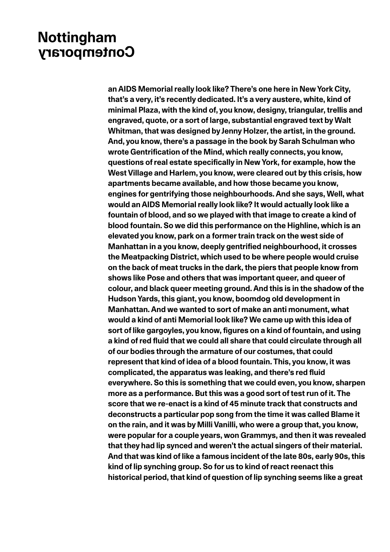**an AIDS Memorial really look like? There's one here in New York City, that's a very, it's recently dedicated. It's a very austere, white, kind of minimal Plaza, with the kind of, you know, designy, triangular, trellis and engraved, quote, or a sort of large, substantial engraved text by Walt Whitman, that was designed by Jenny Holzer, the artist, in the ground. And, you know, there's a passage in the book by Sarah Schulman who wrote Gentrification of the Mind, which really connects, you know, questions of real estate specifically in New York, for example, how the West Village and Harlem, you know, were cleared out by this crisis, how apartments became available, and how those became you know, engines for gentrifying those neighbourhoods. And she says, Well, what would an AIDS Memorial really look like? It would actually look like a fountain of blood, and so we played with that image to create a kind of blood fountain. So we did this performance on the Highline, which is an elevated you know, park on a former train track on the west side of Manhattan in a you know, deeply gentrified neighbourhood, it crosses the Meatpacking District, which used to be where people would cruise on the back of meat trucks in the dark, the piers that people know from shows like Pose and others that was important queer, and queer of colour, and black queer meeting ground. And this is in the shadow of the Hudson Yards, this giant, you know, boomdog old development in Manhattan. And we wanted to sort of make an anti monument, what would a kind of anti Memorial look like? We came up with this idea of sort of like gargoyles, you know, figures on a kind of fountain, and using a kind of red fluid that we could all share that could circulate through all of our bodies through the armature of our costumes, that could represent that kind of idea of a blood fountain. This, you know, it was complicated, the apparatus was leaking, and there's red fluid everywhere. So this is something that we could even, you know, sharpen more as a performance. But this was a good sort of test run of it. The score that we re-enact is a kind of 45 minute track that constructs and deconstructs a particular pop song from the time it was called Blame it on the rain, and it was by Milli Vanilli, who were a group that, you know, were popular for a couple years, won Grammys, and then it was revealed that they had lip synced and weren't the actual singers of their material. And that was kind of like a famous incident of the late 80s, early 90s, this kind of lip synching group. So for us to kind of react reenact this historical period, that kind of question of lip synching seems like a great**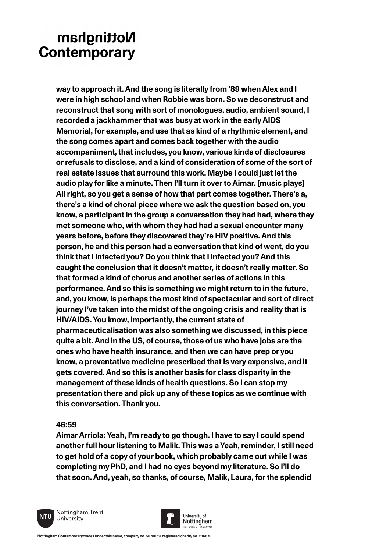**way to approach it. And the song is literally from '89 when Alex and I were in high school and when Robbie was born. So we deconstruct and reconstruct that song with sort of monologues, audio, ambient sound, I recorded a jackhammer that was busy at work in the early AIDS Memorial, for example, and use that as kind of a rhythmic element, and the song comes apart and comes back together with the audio accompaniment, that includes, you know, various kinds of disclosures or refusals to disclose, and a kind of consideration of some of the sort of real estate issues that surround this work. Maybe I could just let the audio play for like a minute. Then I'll turn it over to Aimar. [music plays] All right, so you get a sense of how that part comes together. There's a, there's a kind of choral piece where we ask the question based on, you know, a participant in the group a conversation they had had, where they met someone who, with whom they had had a sexual encounter many years before, before they discovered they're HIV positive. And this person, he and this person had a conversation that kind of went, do you think that I infected you? Do you think that I infected you? And this caught the conclusion that it doesn't matter, it doesn't really matter. So that formed a kind of chorus and another series of actions in this performance. And so this is something we might return to in the future, and, you know, is perhaps the most kind of spectacular and sort of direct journey I've taken into the midst of the ongoing crisis and reality that is HIV/AIDS. You know, importantly, the current state of pharmaceuticalisation was also something we discussed, in this piece quite a bit. And in the US, of course, those of us who have jobs are the ones who have health insurance, and then we can have prep or you know, a preventative medicine prescribed that is very expensive, and it gets covered. And so this is another basis for class disparity in the management of these kinds of health questions. So I can stop my presentation there and pick up any of these topics as we continue with this conversation. Thank you.**

### **46:59**

**Aimar Arriola: Yeah, I'm ready to go though. I have to say I could spend another full hour listening to Malik. This was a Yeah, reminder, I still need to get hold of a copy of your book, which probably came out while I was completing my PhD, and I had no eyes beyond my literature. So I'll do that soon. And, yeah, so thanks, of course, Malik, Laura, for the splendid** 



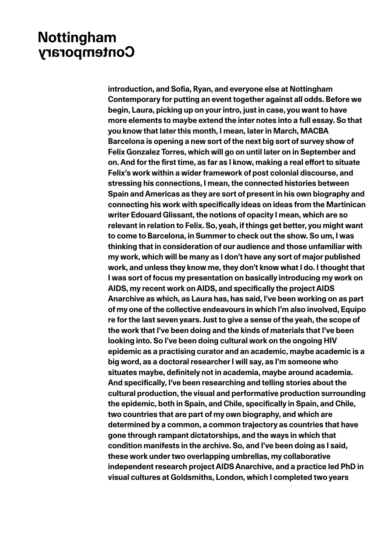**introduction, and Sofia, Ryan, and everyone else at Nottingham Contemporary for putting an event together against all odds. Before we begin, Laura, picking up on your intro, just in case, you want to have more elements to maybe extend the inter notes into a full essay. So that you know that later this month, I mean, later in March, MACBA Barcelona is opening a new sort of the next big sort of survey show of Felix Gonzalez Torres, which will go on until later on in September and on. And for the first time, as far as I know, making a real effort to situate Felix's work within a wider framework of post colonial discourse, and stressing his connections, I mean, the connected histories between Spain and Americas as they are sort of present in his own biography and connecting his work with specifically ideas on ideas from the Martinican writer Edouard Glissant, the notions of opacity I mean, which are so relevant in relation to Felix. So, yeah, if things get better, you might want to come to Barcelona, in Summer to check out the show. So um, I was thinking that in consideration of our audience and those unfamiliar with my work, which will be many as I don't have any sort of major published work, and unless they know me, they don't know what I do. I thought that I was sort of focus my presentation on basically introducing my work on AIDS, my recent work on AIDS, and specifically the project AIDS Anarchive as which, as Laura has, has said, I've been working on as part of my one of the collective endeavours in which I'm also involved, Equipo re for the last seven years. Just to give a sense of the yeah, the scope of the work that I've been doing and the kinds of materials that I've been looking into. So I've been doing cultural work on the ongoing HIV epidemic as a practising curator and an academic, maybe academic is a big word, as a doctoral researcher I will say, as I'm someone who situates maybe, definitely not in academia, maybe around academia. And specifically, I've been researching and telling stories about the cultural production, the visual and performative production surrounding the epidemic, both in Spain, and Chile, specifically in Spain, and Chile, two countries that are part of my own biography, and which are determined by a common, a common trajectory as countries that have gone through rampant dictatorships, and the ways in which that condition manifests in the archive. So, and I've been doing as I said, these work under two overlapping umbrellas, my collaborative independent research project AIDS Anarchive, and a practice led PhD in visual cultures at Goldsmiths, London, which I completed two years**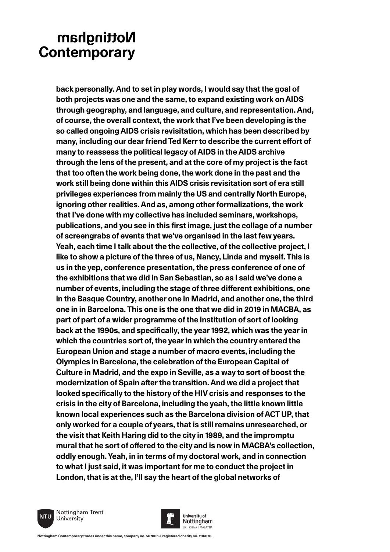**back personally. And to set in play words, I would say that the goal of both projects was one and the same, to expand existing work on AIDS through geography, and language, and culture, and representation. And, of course, the overall context, the work that I've been developing is the so called ongoing AIDS crisis revisitation, which has been described by many, including our dear friend Ted Kerr to describe the current effort of many to reassess the political legacy of AIDS in the AIDS archive through the lens of the present, and at the core of my project is the fact that too often the work being done, the work done in the past and the work still being done within this AIDS crisis revisitation sort of era still privileges experiences from mainly the US and centrally North Europe, ignoring other realities. And as, among other formalizations, the work that I've done with my collective has included seminars, workshops, publications, and you see in this first image, just the collage of a number of screengrabs of events that we've organised in the last few years. Yeah, each time I talk about the the collective, of the collective project, I like to show a picture of the three of us, Nancy, Linda and myself. This is us in the yep, conference presentation, the press conference of one of the exhibitions that we did in San Sebastian, so as I said we've done a number of events, including the stage of three different exhibitions, one in the Basque Country, another one in Madrid, and another one, the third one in in Barcelona. This one is the one that we did in 2019 in MACBA, as part of part of a wider programme of the institution of sort of looking back at the 1990s, and specifically, the year 1992, which was the year in which the countries sort of, the year in which the country entered the European Union and stage a number of macro events, including the Olympics in Barcelona, the celebration of the European Capital of Culture in Madrid, and the expo in Seville, as a way to sort of boost the modernization of Spain after the transition. And we did a project that looked specifically to the history of the HIV crisis and responses to the crisis in the city of Barcelona, including the yeah, the little known little known local experiences such as the Barcelona division of ACT UP, that only worked for a couple of years, that is still remains unresearched, or the visit that Keith Haring did to the city in 1989, and the impromptu mural that he sort of offered to the city and is now in MACBA's collection, oddly enough. Yeah, in in terms of my doctoral work, and in connection to what I just said, it was important for me to conduct the project in London, that is at the, I'll say the heart of the global networks of** 

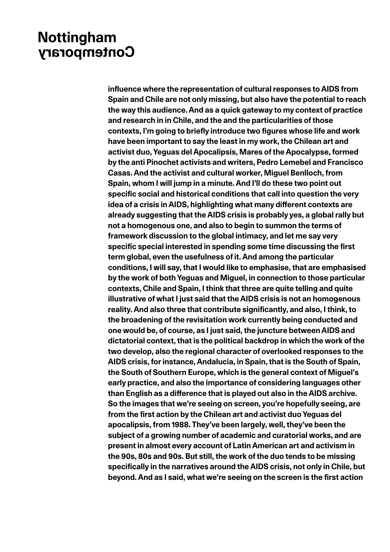**influence where the representation of cultural responses to AIDS from Spain and Chile are not only missing, but also have the potential to reach the way this audience. And as a quick gateway to my context of practice and research in in Chile, and the and the particularities of those contexts, I'm going to briefly introduce two figures whose life and work have been important to say the least in my work, the Chilean art and activist duo, Yeguas del Apocalipsis, Mares of the Apocalypse, formed by the anti Pinochet activists and writers, Pedro Lemebel and Francisco Casas. And the activist and cultural worker, Miguel Benlloch, from Spain, whom I will jump in a minute. And I'll do these two point out specific social and historical conditions that call into question the very idea of a crisis in AIDS, highlighting what many different contexts are already suggesting that the AIDS crisis is probably yes, a global rally but not a homogenous one, and also to begin to summon the terms of framework discussion to the global intimacy, and let me say very specific special interested in spending some time discussing the first term global, even the usefulness of it. And among the particular conditions, I will say, that I would like to emphasise, that are emphasised by the work of both Yeguas and Miguel, in connection to those particular contexts, Chile and Spain, I think that three are quite telling and quite illustrative of what I just said that the AIDS crisis is not an homogenous reality. And also three that contribute significantly, and also, I think, to the broadening of the revisitation work currently being conducted and one would be, of course, as I just said, the juncture between AIDS and dictatorial context, that is the political backdrop in which the work of the two develop, also the regional character of overlooked responses to the AIDS crisis, for instance, Andalucia, in Spain, that is the South of Spain, the South of Southern Europe, which is the general context of Miguel's early practice, and also the importance of considering languages other than English as a difference that is played out also in the AIDS archive. So the images that we're seeing on screen, you're hopefully seeing, are from the first action by the Chilean art and activist duo Yeguas del apocalipsis, from 1988. They've been largely, well, they've been the subject of a growing number of academic and curatorial works, and are present in almost every account of Latin American art and activism in the 90s, 80s and 90s. But still, the work of the duo tends to be missing specifically in the narratives around the AIDS crisis, not only in Chile, but beyond. And as I said, what we're seeing on the screen is the first action**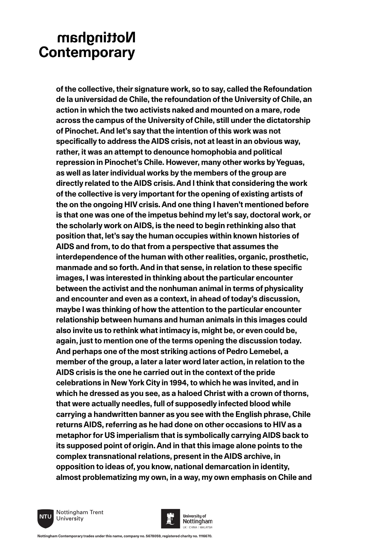**of the collective, their signature work, so to say, called the Refoundation de la universidad de Chile, the refoundation of the University of Chile, an action in which the two activists naked and mounted on a mare, rode across the campus of the University of Chile, still under the dictatorship of Pinochet. And let's say that the intention of this work was not specifically to address the AIDS crisis, not at least in an obvious way, rather, it was an attempt to denounce homophobia and political repression in Pinochet's Chile. However, many other works by Yeguas, as well as later individual works by the members of the group are directly related to the AIDS crisis. And I think that considering the work of the collective is very important for the opening of existing artists of the on the ongoing HIV crisis. And one thing I haven't mentioned before is that one was one of the impetus behind my let's say, doctoral work, or the scholarly work on AIDS, is the need to begin rethinking also that position that, let's say the human occupies within known histories of AIDS and from, to do that from a perspective that assumes the interdependence of the human with other realities, organic, prosthetic, manmade and so forth. And in that sense, in relation to these specific images, I was interested in thinking about the particular encounter between the activist and the nonhuman animal in terms of physicality and encounter and even as a context, in ahead of today's discussion, maybe I was thinking of how the attention to the particular encounter relationship between humans and human animals in this images could also invite us to rethink what intimacy is, might be, or even could be, again, just to mention one of the terms opening the discussion today. And perhaps one of the most striking actions of Pedro Lemebel, a member of the group, a later a later word later action, in relation to the AIDS crisis is the one he carried out in the context of the pride celebrations in New York City in 1994, to which he was invited, and in which he dressed as you see, as a haloed Christ with a crown of thorns, that were actually needles, full of supposedly infected blood while carrying a handwritten banner as you see with the English phrase, Chile returns AIDS, referring as he had done on other occasions to HIV as a metaphor for US imperialism that is symbolically carrying AIDS back to its supposed point of origin. And in that this image alone points to the complex transnational relations, present in the AIDS archive, in opposition to ideas of, you know, national demarcation in identity, almost problematizing my own, in a way, my own emphasis on Chile and** 



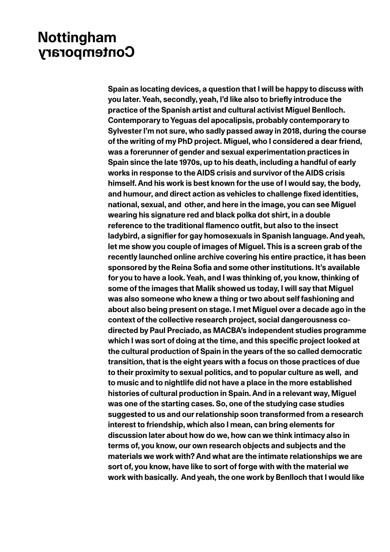**Spain as locating devices, a question that I will be happy to discuss with you later. Yeah, secondly, yeah, I'd like also to briefly introduce the practice of the Spanish artist and cultural activist Miguel Benlloch. Contemporary to Yeguas del apocalipsis, probably contemporary to Sylvester I'm not sure, who sadly passed away in 2018, during the course of the writing of my PhD project. Miguel, who I considered a dear friend, was a forerunner of gender and sexual experimentation practices in Spain since the late 1970s, up to his death, including a handful of early works in response to the AIDS crisis and survivor of the AIDS crisis himself. And his work is best known for the use of I would say, the body, and humour, and direct action as vehicles to challenge fixed identities, national, sexual, and other, and here in the image, you can see Miguel wearing his signature red and black polka dot shirt, in a double reference to the traditional flamenco outfit, but also to the insect ladybird, a signifier for gay homosexuals in Spanish language. And yeah, let me show you couple of images of Miguel. This is a screen grab of the recently launched online archive covering his entire practice, it has been sponsored by the Reina Sofia and some other institutions. It's available for you to have a look. Yeah, and I was thinking of, you know, thinking of some of the images that Malik showed us today, I will say that Miguel was also someone who knew a thing or two about self fashioning and about also being present on stage. I met Miguel over a decade ago in the context of the collective research project, social dangerousness codirected by Paul Preciado, as MACBA's independent studies programme which I was sort of doing at the time, and this specific project looked at the cultural production of Spain in the years of the so called democratic transition, that is the eight years with a focus on those practices of due to their proximity to sexual politics, and to popular culture as well, and to music and to nightlife did not have a place in the more established histories of cultural production in Spain. And in a relevant way, Miguel was one of the starting cases. So, one of the studying case studies suggested to us and our relationship soon transformed from a research interest to friendship, which also I mean, can bring elements for discussion later about how do we, how can we think intimacy also in terms of, you know, our own research objects and subjects and the materials we work with? And what are the intimate relationships we are sort of, you know, have like to sort of forge with with the material we work with basically. And yeah, the one work by Benlloch that I would like**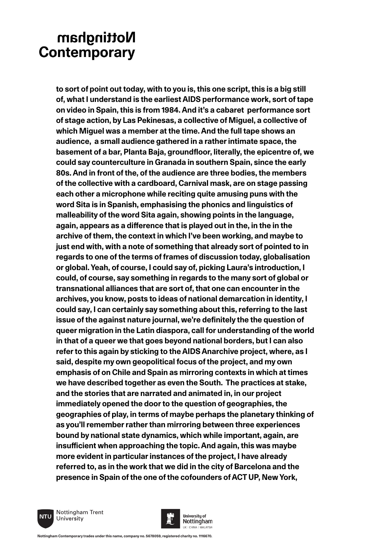**to sort of point out today, with to you is, this one script, this is a big still of, what I understand is the earliest AIDS performance work, sort of tape on video in Spain, this is from 1984. And it's a cabaret performance sort of stage action, by Las Pekinesas, a collective of Miguel, a collective of which Miguel was a member at the time. And the full tape shows an audience, a small audience gathered in a rather intimate space, the basement of a bar, Planta Baja, groundfloor, literally, the epicentre of, we could say counterculture in Granada in southern Spain, since the early 80s. And in front of the, of the audience are three bodies, the members of the collective with a cardboard, Carnival mask, are on stage passing each other a microphone while reciting quite amusing puns with the word Sita is in Spanish, emphasising the phonics and linguistics of malleability of the word Sita again, showing points in the language, again, appears as a difference that is played out in the, in the in the archive of them, the context in which I've been working, and maybe to just end with, with a note of something that already sort of pointed to in regards to one of the terms of frames of discussion today, globalisation or global. Yeah, of course, I could say of, picking Laura's introduction, I could, of course, say something in regards to the many sort of global or transnational alliances that are sort of, that one can encounter in the archives, you know, posts to ideas of national demarcation in identity, I could say, I can certainly say something about this, referring to the last issue of the against nature journal, we're definitely the the question of queer migration in the Latin diaspora, call for understanding of the world in that of a queer we that goes beyond national borders, but I can also refer to this again by sticking to the AIDS Anarchive project, where, as I said, despite my own geopolitical focus of the project, and my own emphasis of on Chile and Spain as mirroring contexts in which at times we have described together as even the South. The practices at stake, and the stories that are narrated and animated in, in our project immediately opened the door to the question of geographies, the geographies of play, in terms of maybe perhaps the planetary thinking of as you'll remember rather than mirroring between three experiences bound by national state dynamics, which while important, again, are insufficient when approaching the topic. And again, this was maybe more evident in particular instances of the project, I have already referred to, as in the work that we did in the city of Barcelona and the presence in Spain of the one of the cofounders of ACT UP, New York,** 



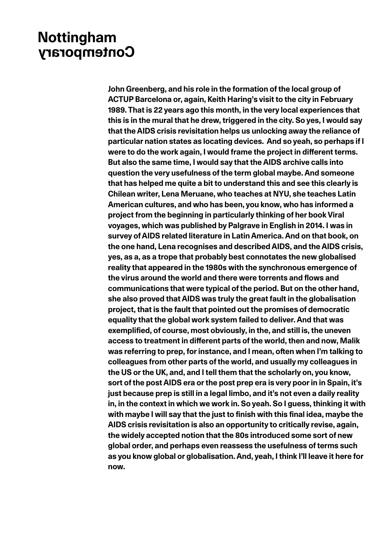**John Greenberg, and his role in the formation of the local group of ACTUP Barcelona or, again, Keith Haring's visit to the city in February 1989. That is 22 years ago this month, in the very local experiences that this is in the mural that he drew, triggered in the city. So yes, I would say that the AIDS crisis revisitation helps us unlocking away the reliance of particular nation states as locating devices. And so yeah, so perhaps if I were to do the work again, I would frame the project in different terms. But also the same time, I would say that the AIDS archive calls into question the very usefulness of the term global maybe. And someone that has helped me quite a bit to understand this and see this clearly is Chilean writer, Lena Meruane, who teaches at NYU, she teaches Latin American cultures, and who has been, you know, who has informed a project from the beginning in particularly thinking of her book Viral voyages, which was published by Palgrave in English in 2014. I was in survey of AIDS related literature in Latin America. And on that book, on the one hand, Lena recognises and described AIDS, and the AIDS crisis, yes, as a, as a trope that probably best connotates the new globalised reality that appeared in the 1980s with the synchronous emergence of the virus around the world and there were torrents and flows and communications that were typical of the period. But on the other hand, she also proved that AIDS was truly the great fault in the globalisation project, that is the fault that pointed out the promises of democratic equality that the global work system failed to deliver. And that was exemplified, of course, most obviously, in the, and still is, the uneven access to treatment in different parts of the world, then and now, Malik was referring to prep, for instance, and I mean, often when I'm talking to colleagues from other parts of the world, and usually my colleagues in the US or the UK, and, and I tell them that the scholarly on, you know, sort of the post AIDS era or the post prep era is very poor in in Spain, it's just because prep is still in a legal limbo, and it's not even a daily reality in, in the context in which we work in. So yeah. So I guess, thinking it with with maybe I will say that the just to finish with this final idea, maybe the AIDS crisis revisitation is also an opportunity to critically revise, again, the widely accepted notion that the 80s introduced some sort of new global order, and perhaps even reassess the usefulness of terms such as you know global or globalisation. And, yeah, I think I'll leave it here for now.**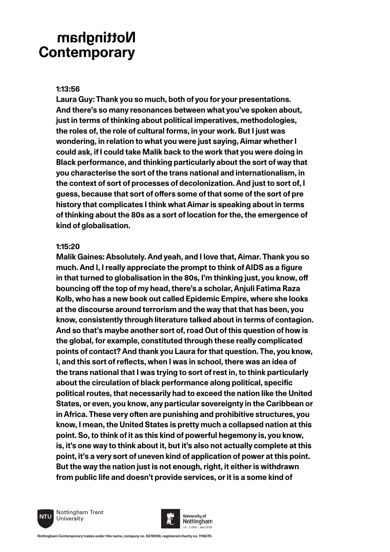### **1:13:56**

**Laura Guy: Thank you so much, both of you for your presentations. And there's so many resonances between what you've spoken about, just in terms of thinking about political imperatives, methodologies, the roles of, the role of cultural forms, in your work. But I just was wondering, in relation to what you were just saying, Aimar whether I could ask, if I could take Malik back to the work that you were doing in Black performance, and thinking particularly about the sort of way that you characterise the sort of the trans national and internationalism, in the context of sort of processes of decolonization. And just to sort of, I guess, because that sort of offers some of that some of the sort of pre history that complicates I think what Aimar is speaking about in terms of thinking about the 80s as a sort of location for the, the emergence of kind of globalisation.**

### **1:15:20**

**Malik Gaines: Absolutely. And yeah, and I love that, Aimar. Thank you so much. And I, I really appreciate the prompt to think of AIDS as a figure in that turned to globalisation in the 80s, I'm thinking just, you know, off bouncing off the top of my head, there's a scholar, Anjuli Fatima Raza Kolb, who has a new book out called Epidemic Empire, where she looks at the discourse around terrorism and the way that that has been, you know, consistently through literature talked about in terms of contagion. And so that's maybe another sort of, road Out of this question of how is the global, for example, constituted through these really complicated points of contact? And thank you Laura for that question. The, you know, I, and this sort of reflects, when I was in school, there was an idea of the trans national that I was trying to sort of rest in, to think particularly about the circulation of black performance along political, specific political routes, that necessarily had to exceed the nation like the United States, or even, you know, any particular sovereignty in the Caribbean or in Africa. These very often are punishing and prohibitive structures, you know, I mean, the United States is pretty much a collapsed nation at this point. So, to think of it as this kind of powerful hegemony is, you know, is, it's one way to think about it, but it's also not actually complete at this point, it's a very sort of uneven kind of application of power at this point. But the way the nation just is not enough, right, it either is withdrawn from public life and doesn't provide services, or it is a some kind of** 



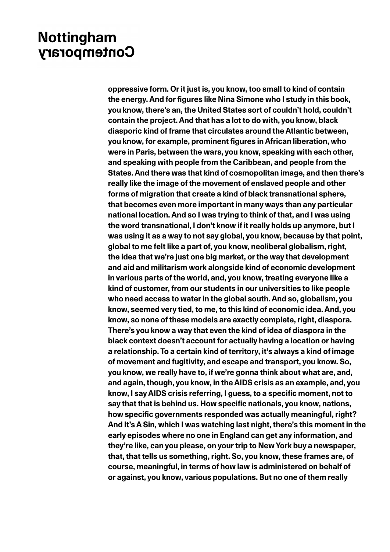**oppressive form. Or it just is, you know, too small to kind of contain the energy. And for figures like Nina Simone who I study in this book, you know, there's an, the United States sort of couldn't hold, couldn't contain the project. And that has a lot to do with, you know, black diasporic kind of frame that circulates around the Atlantic between, you know, for example, prominent figures in African liberation, who were in Paris, between the wars, you know, speaking with each other, and speaking with people from the Caribbean, and people from the States. And there was that kind of cosmopolitan image, and then there's really like the image of the movement of enslaved people and other forms of migration that create a kind of black transnational sphere, that becomes even more important in many ways than any particular national location. And so I was trying to think of that, and I was using the word transnational, I don't know if it really holds up anymore, but I was using it as a way to not say global, you know, because by that point, global to me felt like a part of, you know, neoliberal globalism, right, the idea that we're just one big market, or the way that development and aid and militarism work alongside kind of economic development in various parts of the world, and, you know, treating everyone like a kind of customer, from our students in our universities to like people who need access to water in the global south. And so, globalism, you know, seemed very tied, to me, to this kind of economic idea. And, you know, so none of these models are exactly complete, right, diaspora. There's you know a way that even the kind of idea of diaspora in the black context doesn't account for actually having a location or having a relationship. To a certain kind of territory, it's always a kind of image of movement and fugitivity, and escape and transport, you know. So, you know, we really have to, if we're gonna think about what are, and, and again, though, you know, in the AIDS crisis as an example, and, you know, I say AIDS crisis referring, I guess, to a specific moment, not to say that that is behind us. How specific nationals, you know, nations, how specific governments responded was actually meaningful, right? And It's A Sin, which I was watching last night, there's this moment in the early episodes where no one in England can get any information, and they're like, can you please, on your trip to New York buy a newspaper, that, that tells us something, right. So, you know, these frames are, of course, meaningful, in terms of how law is administered on behalf of or against, you know, various populations. But no one of them really**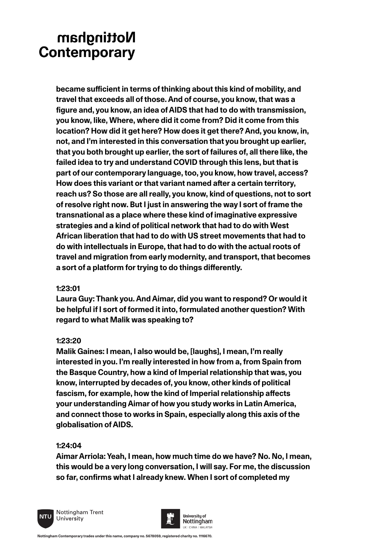**became sufficient in terms of thinking about this kind of mobility, and travel that exceeds all of those. And of course, you know, that was a figure and, you know, an idea of AIDS that had to do with transmission, you know, like, Where, where did it come from? Did it come from this location? How did it get here? How does it get there? And, you know, in, not, and I'm interested in this conversation that you brought up earlier, that you both brought up earlier, the sort of failures of, all there like, the failed idea to try and understand COVID through this lens, but that is part of our contemporary language, too, you know, how travel, access? How does this variant or that variant named after a certain territory, reach us? So those are all really, you know, kind of questions, not to sort of resolve right now. But I just in answering the way I sort of frame the transnational as a place where these kind of imaginative expressive strategies and a kind of political network that had to do with West African liberation that had to do with US street movements that had to do with intellectuals in Europe, that had to do with the actual roots of travel and migration from early modernity, and transport, that becomes a sort of a platform for trying to do things differently.**

### **1:23:01**

**Laura Guy: Thank you. And Aimar, did you want to respond? Or would it be helpful if I sort of formed it into, formulated another question? With regard to what Malik was speaking to?**

### **1:23:20**

**Malik Gaines: I mean, I also would be, [laughs], I mean, I'm really interested in you. I'm really interested in how from a, from Spain from the Basque Country, how a kind of Imperial relationship that was, you know, interrupted by decades of, you know, other kinds of political fascism, for example, how the kind of Imperial relationship affects your understanding Aimar of how you study works in Latin America, and connect those to works in Spain, especially along this axis of the globalisation of AIDS.**

### **1:24:04**

**Aimar Arriola: Yeah, I mean, how much time do we have? No. No, I mean, this would be a very long conversation, I will say. For me, the discussion so far, confirms what I already knew. When I sort of completed my** 



Nottingham Trent University

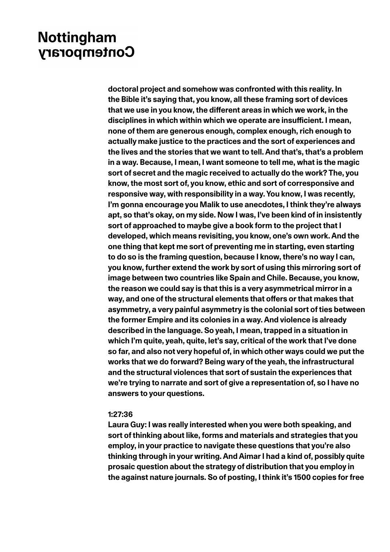**doctoral project and somehow was confronted with this reality. In the Bible it's saying that, you know, all these framing sort of devices that we use in you know, the different areas in which we work, in the disciplines in which within which we operate are insufficient. I mean, none of them are generous enough, complex enough, rich enough to actually make justice to the practices and the sort of experiences and the lives and the stories that we want to tell. And that's, that's a problem in a way. Because, I mean, I want someone to tell me, what is the magic sort of secret and the magic received to actually do the work? The, you know, the most sort of, you know, ethic and sort of corresponsive and responsive way, with responsibility in a way. You know, I was recently, I'm gonna encourage you Malik to use anecdotes, I think they're always apt, so that's okay, on my side. Now I was, I've been kind of in insistently sort of approached to maybe give a book form to the project that I developed, which means revisiting, you know, one's own work. And the one thing that kept me sort of preventing me in starting, even starting to do so is the framing question, because I know, there's no way I can, you know, further extend the work by sort of using this mirroring sort of image between two countries like Spain and Chile. Because, you know, the reason we could say is that this is a very asymmetrical mirror in a way, and one of the structural elements that offers or that makes that asymmetry, a very painful asymmetry is the colonial sort of ties between the former Empire and its colonies in a way. And violence is already described in the language. So yeah, I mean, trapped in a situation in which I'm quite, yeah, quite, let's say, critical of the work that I've done so far, and also not very hopeful of, in which other ways could we put the works that we do forward? Being wary of the yeah, the infrastructural and the structural violences that sort of sustain the experiences that we're trying to narrate and sort of give a representation of, so I have no answers to your questions.** 

### **1:27:36**

**Laura Guy: I was really interested when you were both speaking, and sort of thinking about like, forms and materials and strategies that you employ, in your practice to navigate these questions that you're also thinking through in your writing. And Aimar I had a kind of, possibly quite prosaic question about the strategy of distribution that you employ in the against nature journals. So of posting, I think it's 1500 copies for free**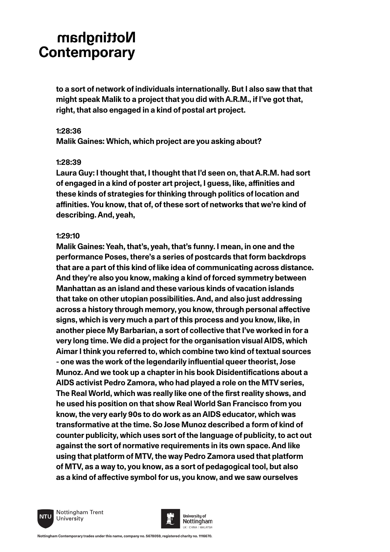**to a sort of network of individuals internationally. But I also saw that that might speak Malik to a project that you did with A.R.M., if I've got that, right, that also engaged in a kind of postal art project.**

#### **1:28:36**

**Malik Gaines: Which, which project are you asking about?** 

### **1:28:39**

**Laura Guy: I thought that, I thought that I'd seen on, that A.R.M. had sort of engaged in a kind of poster art project, I guess, like, affinities and these kinds of strategies for thinking through politics of location and affinities. You know, that of, of these sort of networks that we're kind of describing. And, yeah,**

### **1:29:10**

**Malik Gaines: Yeah, that's, yeah, that's funny. I mean, in one and the performance Poses, there's a series of postcards that form backdrops that are a part of this kind of like idea of communicating across distance. And they're also you know, making a kind of forced symmetry between Manhattan as an island and these various kinds of vacation islands that take on other utopian possibilities. And, and also just addressing across a history through memory, you know, through personal affective signs, which is very much a part of this process and you know, like, in another piece My Barbarian, a sort of collective that I've worked in for a very long time. We did a project for the organisation visual AIDS, which Aimar I think you referred to, which combine two kind of textual sources - one was the work of the legendarily influential queer theorist, Jose Munoz. And we took up a chapter in his book Disidentifications about a AIDS activist Pedro Zamora, who had played a role on the MTV series, The Real World, which was really like one of the first reality shows, and he used his position on that show Real World San Francisco from you know, the very early 90s to do work as an AIDS educator, which was transformative at the time. So Jose Munoz described a form of kind of counter publicity, which uses sort of the language of publicity, to act out against the sort of normative requirements in its own space. And like using that platform of MTV, the way Pedro Zamora used that platform of MTV, as a way to, you know, as a sort of pedagogical tool, but also as a kind of affective symbol for us, you know, and we saw ourselves** 



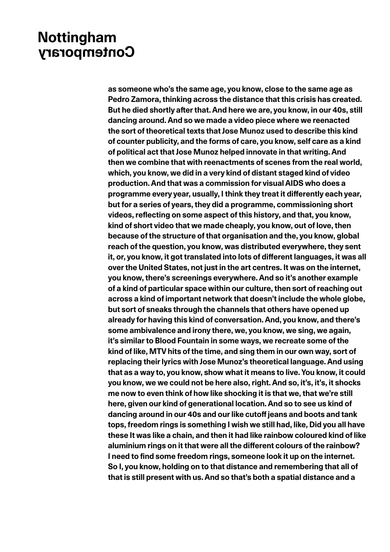**as someone who's the same age, you know, close to the same age as Pedro Zamora, thinking across the distance that this crisis has created. But he died shortly after that. And here we are, you know, in our 40s, still dancing around. And so we made a video piece where we reenacted the sort of theoretical texts that Jose Munoz used to describe this kind of counter publicity, and the forms of care, you know, self care as a kind of political act that Jose Munoz helped innovate in that writing. And then we combine that with reenactments of scenes from the real world, which, you know, we did in a very kind of distant staged kind of video production. And that was a commission for visual AIDS who does a programme every year, usually, I think they treat it differently each year, but for a series of years, they did a programme, commissioning short videos, reflecting on some aspect of this history, and that, you know, kind of short video that we made cheaply, you know, out of love, then because of the structure of that organisation and the, you know, global reach of the question, you know, was distributed everywhere, they sent it, or, you know, it got translated into lots of different languages, it was all over the United States, not just in the art centres. It was on the internet, you know, there's screenings everywhere. And so it's another example of a kind of particular space within our culture, then sort of reaching out across a kind of important network that doesn't include the whole globe, but sort of sneaks through the channels that others have opened up already for having this kind of conversation. And, you know, and there's some ambivalence and irony there, we, you know, we sing, we again, it's similar to Blood Fountain in some ways, we recreate some of the kind of like, MTV hits of the time, and sing them in our own way, sort of replacing their lyrics with Jose Munoz's theoretical language. And using that as a way to, you know, show what it means to live. You know, it could you know, we we could not be here also, right. And so, it's, it's, it shocks me now to even think of how like shocking it is that we, that we're still here, given our kind of generational location. And so to see us kind of dancing around in our 40s and our like cutoff jeans and boots and tank tops, freedom rings is something I wish we still had, like, Did you all have these It was like a chain, and then it had like rainbow coloured kind of like aluminium rings on it that were all the different colours of the rainbow? I need to find some freedom rings, someone look it up on the internet. So I, you know, holding on to that distance and remembering that all of that is still present with us. And so that's both a spatial distance and a**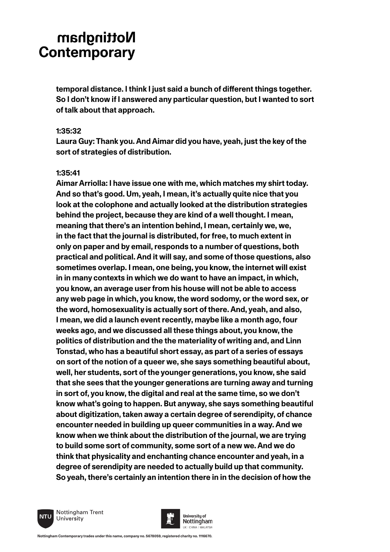**temporal distance. I think I just said a bunch of different things together. So I don't know if I answered any particular question, but I wanted to sort of talk about that approach.**

### **1:35:32**

**Laura Guy: Thank you. And Aimar did you have, yeah, just the key of the sort of strategies of distribution.**

### **1:35:41**

**Aimar Arriolla: I have issue one with me, which matches my shirt today. And so that's good. Um, yeah, I mean, it's actually quite nice that you look at the colophone and actually looked at the distribution strategies behind the project, because they are kind of a well thought. I mean, meaning that there's an intention behind, I mean, certainly we, we, in the fact that the journal is distributed, for free, to much extent in only on paper and by email, responds to a number of questions, both practical and political. And it will say, and some of those questions, also sometimes overlap. I mean, one being, you know, the internet will exist in in many contexts in which we do want to have an impact, in which, you know, an average user from his house will not be able to access any web page in which, you know, the word sodomy, or the word sex, or the word, homosexuality is actually sort of there. And, yeah, and also, I mean, we did a launch event recently, maybe like a month ago, four weeks ago, and we discussed all these things about, you know, the politics of distribution and the the materiality of writing and, and Linn Tonstad, who has a beautiful short essay, as part of a series of essays on sort of the notion of a queer we, she says something beautiful about, well, her students, sort of the younger generations, you know, she said that she sees that the younger generations are turning away and turning in sort of, you know, the digital and real at the same time, so we don't know what's going to happen. But anyway, she says something beautiful about digitization, taken away a certain degree of serendipity, of chance encounter needed in building up queer communities in a way. And we know when we think about the distribution of the journal, we are trying to build some sort of community, some sort of a new we. And we do think that physicality and enchanting chance encounter and yeah, in a degree of serendipity are needed to actually build up that community. So yeah, there's certainly an intention there in in the decision of how the** 



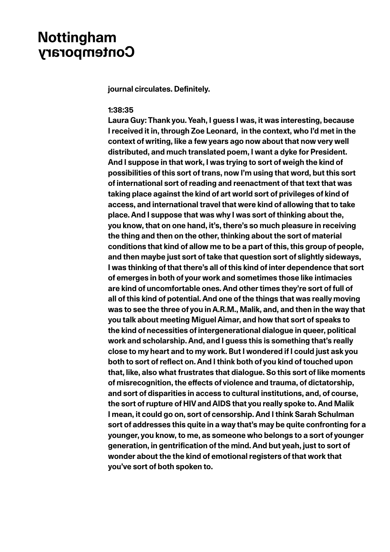**journal circulates. Definitely.**

#### **1:38:35**

**Laura Guy: Thank you. Yeah, I guess I was, it was interesting, because I received it in, through Zoe Leonard, in the context, who I'd met in the context of writing, like a few years ago now about that now very well distributed, and much translated poem, I want a dyke for President. And I suppose in that work, I was trying to sort of weigh the kind of possibilities of this sort of trans, now I'm using that word, but this sort of international sort of reading and reenactment of that text that was taking place against the kind of art world sort of privileges of kind of access, and international travel that were kind of allowing that to take place. And I suppose that was why I was sort of thinking about the, you know, that on one hand, it's, there's so much pleasure in receiving the thing and then on the other, thinking about the sort of material conditions that kind of allow me to be a part of this, this group of people, and then maybe just sort of take that question sort of slightly sideways, I was thinking of that there's all of this kind of inter dependence that sort of emerges in both of your work and sometimes those like intimacies are kind of uncomfortable ones. And other times they're sort of full of all of this kind of potential. And one of the things that was really moving was to see the three of you in A.R.M., Malik, and, and then in the way that you talk about meeting Miguel Aimar, and how that sort of speaks to the kind of necessities of intergenerational dialogue in queer, political work and scholarship. And, and I guess this is something that's really close to my heart and to my work. But I wondered if I could just ask you both to sort of reflect on. And I think both of you kind of touched upon that, like, also what frustrates that dialogue. So this sort of like moments of misrecognition, the effects of violence and trauma, of dictatorship, and sort of disparities in access to cultural institutions, and, of course, the sort of rupture of HIV and AIDS that you really spoke to. And Malik I mean, it could go on, sort of censorship. And I think Sarah Schulman sort of addresses this quite in a way that's may be quite confronting for a younger, you know, to me, as someone who belongs to a sort of younger generation, in gentrification of the mind. And but yeah, just to sort of wonder about the the kind of emotional registers of that work that you've sort of both spoken to.**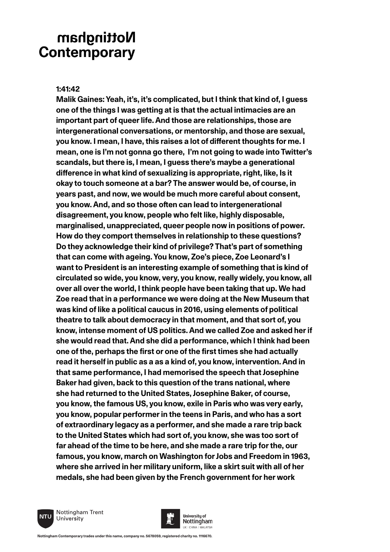### **1:41:42**

**Malik Gaines: Yeah, it's, it's complicated, but I think that kind of, I guess one of the things I was getting at is that the actual intimacies are an important part of queer life. And those are relationships, those are intergenerational conversations, or mentorship, and those are sexual, you know. I mean, I have, this raises a lot of different thoughts for me. I mean, one is I'm not gonna go there, I'm not going to wade into Twitter's scandals, but there is, I mean, I guess there's maybe a generational difference in what kind of sexualizing is appropriate, right, like, Is it okay to touch someone at a bar? The answer would be, of course, in years past, and now, we would be much more careful about consent, you know. And, and so those often can lead to intergenerational disagreement, you know, people who felt like, highly disposable, marginalised, unappreciated, queer people now in positions of power. How do they comport themselves in relationship to these questions? Do they acknowledge their kind of privilege? That's part of something that can come with ageing. You know, Zoe's piece, Zoe Leonard's I want to President is an interesting example of something that is kind of circulated so wide, you know, very, you know, really widely, you know, all over all over the world, I think people have been taking that up. We had Zoe read that in a performance we were doing at the New Museum that was kind of like a political caucus in 2016, using elements of political theatre to talk about democracy in that moment, and that sort of, you know, intense moment of US politics. And we called Zoe and asked her if she would read that. And she did a performance, which I think had been one of the, perhaps the first or one of the first times she had actually read it herself in public as a as a kind of, you know, intervention. And in that same performance, I had memorised the speech that Josephine Baker had given, back to this question of the trans national, where she had returned to the United States, Josephine Baker, of course, you know, the famous US, you know, exile in Paris who was very early, you know, popular performer in the teens in Paris, and who has a sort of extraordinary legacy as a performer, and she made a rare trip back to the United States which had sort of, you know, she was too sort of far ahead of the time to be here, and she made a rare trip for the, our famous, you know, march on Washington for Jobs and Freedom in 1963, where she arrived in her military uniform, like a skirt suit with all of her medals, she had been given by the French government for her work** 



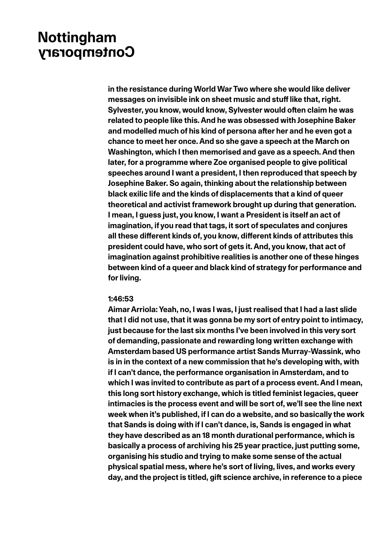**in the resistance during World War Two where she would like deliver messages on invisible ink on sheet music and stuff like that, right. Sylvester, you know, would know, Sylvester would often claim he was related to people like this. And he was obsessed with Josephine Baker and modelled much of his kind of persona after her and he even got a chance to meet her once. And so she gave a speech at the March on Washington, which I then memorised and gave as a speech. And then later, for a programme where Zoe organised people to give political speeches around I want a president, I then reproduced that speech by Josephine Baker. So again, thinking about the relationship between black exilic life and the kinds of displacements that a kind of queer theoretical and activist framework brought up during that generation. I mean, I guess just, you know, I want a President is itself an act of imagination, if you read that tags, it sort of speculates and conjures all these different kinds of, you know, different kinds of attributes this president could have, who sort of gets it. And, you know, that act of imagination against prohibitive realities is another one of these hinges between kind of a queer and black kind of strategy for performance and for living.**

#### **1:46:53**

**Aimar Arriola: Yeah, no, I was I was, I just realised that I had a last slide that I did not use, that it was gonna be my sort of entry point to intimacy, just because for the last six months I've been involved in this very sort of demanding, passionate and rewarding long written exchange with Amsterdam based US performance artist Sands Murray-Wassink, who is in in the context of a new commission that he's developing with, with if I can't dance, the performance organisation in Amsterdam, and to which I was invited to contribute as part of a process event. And I mean, this long sort history exchange, which is titled feminist legacies, queer intimacies is the process event and will be sort of, we'll see the line next week when it's published, if I can do a website, and so basically the work that Sands is doing with if I can't dance, is, Sands is engaged in what they have described as an 18 month durational performance, which is basically a process of archiving his 25 year practice, just putting some, organising his studio and trying to make some sense of the actual physical spatial mess, where he's sort of living, lives, and works every day, and the project is titled, gift science archive, in reference to a piece**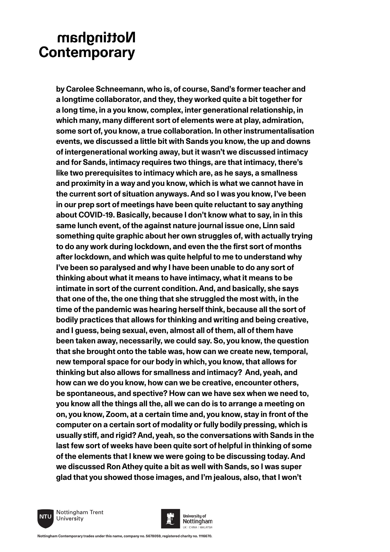**by Carolee Schneemann, who is, of course, Sand's former teacher and a longtime collaborator, and they, they worked quite a bit together for a long time, in a you know, complex, inter generational relationship, in which many, many different sort of elements were at play, admiration, some sort of, you know, a true collaboration. In other instrumentalisation events, we discussed a little bit with Sands you know, the up and downs of intergenerational working away, but it wasn't we discussed intimacy and for Sands, intimacy requires two things, are that intimacy, there's like two prerequisites to intimacy which are, as he says, a smallness and proximity in a way and you know, which is what we cannot have in the current sort of situation anyways. And so I was you know, I've been in our prep sort of meetings have been quite reluctant to say anything about COVID-19. Basically, because I don't know what to say, in in this same lunch event, of the against nature journal issue one, Linn said something quite graphic about her own struggles of, with actually trying to do any work during lockdown, and even the the first sort of months after lockdown, and which was quite helpful to me to understand why I've been so paralysed and why I have been unable to do any sort of thinking about what it means to have intimacy, what it means to be intimate in sort of the current condition. And, and basically, she says that one of the, the one thing that she struggled the most with, in the time of the pandemic was hearing herself think, because all the sort of bodily practices that allows for thinking and writing and being creative, and I guess, being sexual, even, almost all of them, all of them have been taken away, necessarily, we could say. So, you know, the question that she brought onto the table was, how can we create new, temporal, new temporal space for our body in which, you know, that allows for thinking but also allows for smallness and intimacy? And, yeah, and how can we do you know, how can we be creative, encounter others, be spontaneous, and spective? How can we have sex when we need to, you know all the things all the, all we can do is to arrange a meeting on on, you know, Zoom, at a certain time and, you know, stay in front of the computer on a certain sort of modality or fully bodily pressing, which is usually stiff, and rigid? And, yeah, so the conversations with Sands in the last few sort of weeks have been quite sort of helpful in thinking of some of the elements that I knew we were going to be discussing today. And we discussed Ron Athey quite a bit as well with Sands, so I was super glad that you showed those images, and I'm jealous, also, that I won't** 



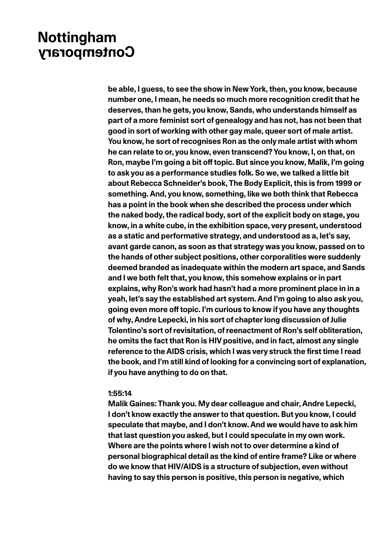**be able, I guess, to see the show in New York, then, you know, because number one, I mean, he needs so much more recognition credit that he deserves, than he gets, you know, Sands, who understands himself as part of a more feminist sort of genealogy and has not, has not been that good in sort of working with other gay male, queer sort of male artist. You know, he sort of recognises Ron as the only male artist with whom he can relate to or, you know, even transcend? You know, I, on that, on Ron, maybe I'm going a bit off topic. But since you know, Malik, I'm going to ask you as a performance studies folk. So we, we talked a little bit about Rebecca Schneider's book, The Body Explicit, this is from 1999 or something. And, you know, something, like we both think that Rebecca has a point in the book when she described the process under which the naked body, the radical body, sort of the explicit body on stage, you know, in a white cube, in the exhibition space, very present, understood as a static and performative strategy, and understood as a, let's say, avant garde canon, as soon as that strategy was you know, passed on to the hands of other subject positions, other corporalities were suddenly deemed branded as inadequate within the modern art space, and Sands and I we both felt that, you know, this somehow explains or in part explains, why Ron's work had hasn't had a more prominent place in in a yeah, let's say the established art system. And I'm going to also ask you, going even more off topic. I'm curious to know if you have any thoughts of why, Andre Lepecki, in his sort of chapter long discussion of Julie Tolentino's sort of revisitation, of reenactment of Ron's self obliteration, he omits the fact that Ron is HIV positive, and in fact, almost any single reference to the AIDS crisis, which I was very struck the first time I read the book, and I'm still kind of looking for a convincing sort of explanation, if you have anything to do on that.**

#### **1:55:14**

**Malik Gaines: Thank you. My dear colleague and chair, Andre Lepecki, I don't know exactly the answer to that question. But you know, I could speculate that maybe, and I don't know. And we would have to ask him that last question you asked, but I could speculate in my own work. Where are the points where I wish not to over determine a kind of personal biographical detail as the kind of entire frame? Like or where do we know that HIV/AIDS is a structure of subjection, even without having to say this person is positive, this person is negative, which**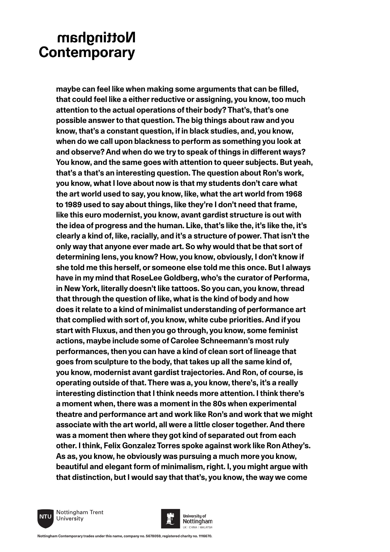**maybe can feel like when making some arguments that can be filled, that could feel like a either reductive or assigning, you know, too much attention to the actual operations of their body? That's, that's one possible answer to that question. The big things about raw and you know, that's a constant question, if in black studies, and, you know, when do we call upon blackness to perform as something you look at and observe? And when do we try to speak of things in different ways? You know, and the same goes with attention to queer subjects. But yeah, that's a that's an interesting question. The question about Ron's work, you know, what I love about now is that my students don't care what the art world used to say, you know, like, what the art world from 1968 to 1989 used to say about things, like they're I don't need that frame, like this euro modernist, you know, avant gardist structure is out with the idea of progress and the human. Like, that's like the, it's like the, it's clearly a kind of, like, racially, and it's a structure of power. That isn't the only way that anyone ever made art. So why would that be that sort of determining lens, you know? How, you know, obviously, I don't know if she told me this herself, or someone else told me this once. But I always have in my mind that RoseLee Goldberg, who's the curator of Performa, in New York, literally doesn't like tattoos. So you can, you know, thread that through the question of like, what is the kind of body and how does it relate to a kind of minimalist understanding of performance art that complied with sort of, you know, white cube priorities. And if you start with Fluxus, and then you go through, you know, some feminist actions, maybe include some of Carolee Schneemann's most ruly performances, then you can have a kind of clean sort of lineage that goes from sculpture to the body, that takes up all the same kind of, you know, modernist avant gardist trajectories. And Ron, of course, is operating outside of that. There was a, you know, there's, it's a really interesting distinction that I think needs more attention. I think there's a moment when, there was a moment in the 80s when experimental theatre and performance art and work like Ron's and work that we might associate with the art world, all were a little closer together. And there was a moment then where they got kind of separated out from each other. I think, Felix Gonzalez Torres spoke against work like Ron Athey's. As as, you know, he obviously was pursuing a much more you know, beautiful and elegant form of minimalism, right. I, you might argue with that distinction, but I would say that that's, you know, the way we come** 



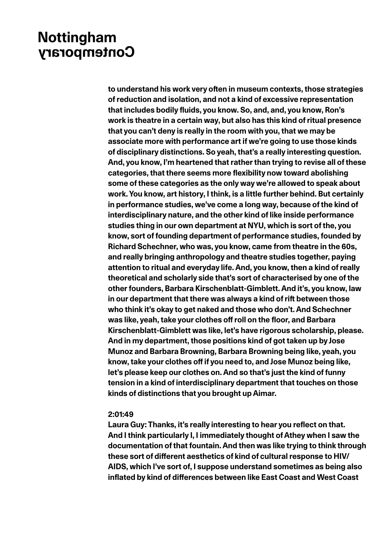**to understand his work very often in museum contexts, those strategies of reduction and isolation, and not a kind of excessive representation that includes bodily fluids, you know. So, and, and, you know, Ron's work is theatre in a certain way, but also has this kind of ritual presence that you can't deny is really in the room with you, that we may be associate more with performance art if we're going to use those kinds of disciplinary distinctions. So yeah, that's a really interesting question. And, you know, I'm heartened that rather than trying to revise all of these categories, that there seems more flexibility now toward abolishing some of these categories as the only way we're allowed to speak about work. You know, art history, I think, is a little further behind. But certainly in performance studies, we've come a long way, because of the kind of interdisciplinary nature, and the other kind of like inside performance studies thing in our own department at NYU, which is sort of the, you know, sort of founding department of performance studies, founded by Richard Schechner, who was, you know, came from theatre in the 60s, and really bringing anthropology and theatre studies together, paying attention to ritual and everyday life. And, you know, then a kind of really theoretical and scholarly side that's sort of characterised by one of the other founders, Barbara Kirschenblatt-Gimblett. And it's, you know, law in our department that there was always a kind of rift between those who think it's okay to get naked and those who don't. And Schechner was like, yeah, take your clothes off roll on the floor, and Barbara Kirschenblatt-Gimblett was like, let's have rigorous scholarship, please. And in my department, those positions kind of got taken up by Jose Munoz and Barbara Browning, Barbara Browning being like, yeah, you know, take your clothes off if you need to, and Jose Munoz being like, let's please keep our clothes on. And so that's just the kind of funny tension in a kind of interdisciplinary department that touches on those kinds of distinctions that you brought up Aimar.**

### **2:01:49**

**Laura Guy: Thanks, it's really interesting to hear you reflect on that. And I think particularly I, I immediately thought of Athey when I saw the documentation of that fountain. And then was like trying to think through these sort of different aesthetics of kind of cultural response to HIV/ AIDS, which I've sort of, I suppose understand sometimes as being also inflated by kind of differences between like East Coast and West Coast**